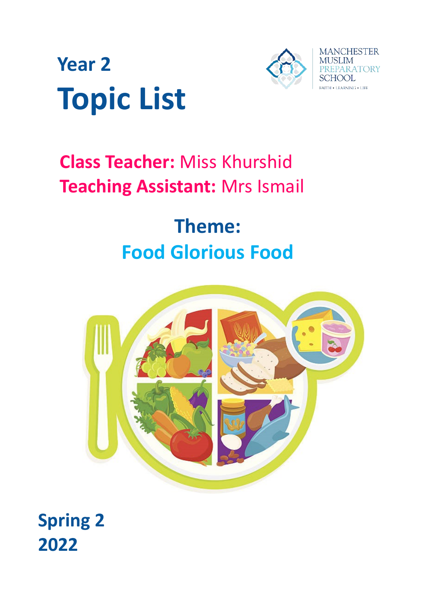



# **Class Teacher:** Miss Khurshid **Teaching Assistant:** Mrs Ismail

# **Theme: Food Glorious Food**



**Spring 2 2022**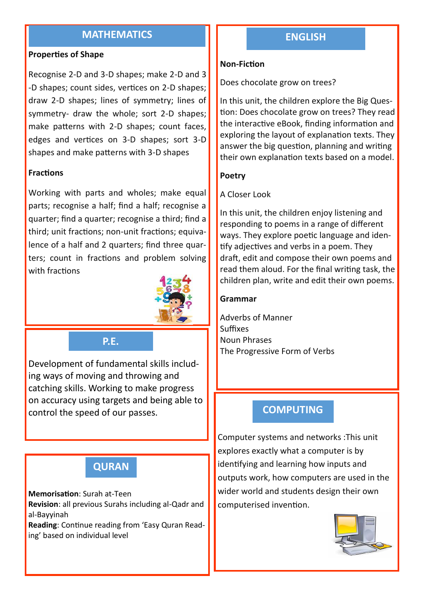# **MATHEMATICS**

#### **Properties of Shape**

Recognise 2-D and 3-D shapes; make 2-D and 3 -D shapes; count sides, vertices on 2-D shapes; draw 2-D shapes; lines of symmetry; lines of symmetry- draw the whole; sort 2-D shapes; make patterns with 2-D shapes; count faces, edges and vertices on 3-D shapes; sort 3-D shapes and make patterns with 3-D shapes

#### **Fractions**

Working with parts and wholes; make equal parts; recognise a half; find a half; recognise a quarter; find a quarter; recognise a third; find a third; unit fractions; non-unit fractions; equivalence of a half and 2 quarters; find three quarters; count in fractions and problem solving with fractions



## **P.E.**

Development of fundamental skills including ways of moving and throwing and catching skills. Working to make progress on accuracy using targets and being able to control the speed of our passes.

# **QURAN**

#### **Memorisation**: Surah at-Teen

**Revision**: all previous Surahs including al-Qadr and al-Bayyinah

**Reading**: Continue reading from 'Easy Quran Reading' based on individual level

# **ENGLISH**

#### **Non-Fiction**

Does chocolate grow on trees?

In this unit, the children explore the Big Question: Does chocolate grow on trees? They read the interactive eBook, finding information and exploring the layout of explanation texts. They answer the big question, planning and writing their own explanation texts based on a model.

#### **Poetry**

#### A Closer Look

In this unit, the children enjoy listening and responding to poems in a range of different ways. They explore poetic language and identify adjectives and verbs in a poem. They draft, edit and compose their own poems and read them aloud. For the final writing task, the children plan, write and edit their own poems.

#### **Grammar**

Adverbs of Manner Suffixes Noun Phrases The Progressive Form of Verbs

## **COMPUTING**

Computer systems and networks :This unit explores exactly what a computer is by identifying and learning how inputs and outputs work, how computers are used in the wider world and students design their own computerised invention.